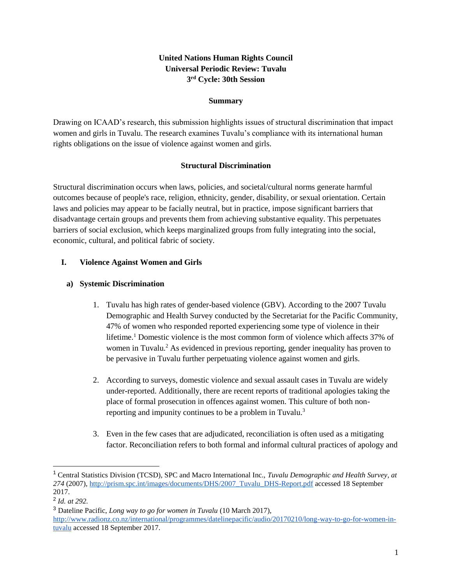# **United Nations Human Rights Council Universal Periodic Review: Tuvalu 3 rd Cycle: 30th Session**

#### **Summary**

Drawing on ICAAD's research, this submission highlights issues of structural discrimination that impact women and girls in Tuvalu. The research examines Tuvalu's compliance with its international human rights obligations on the issue of violence against women and girls.

#### **Structural Discrimination**

Structural discrimination occurs when laws, policies, and societal/cultural norms generate harmful outcomes because of people's race, religion, ethnicity, gender, disability, or sexual orientation. Certain laws and policies may appear to be facially neutral, but in practice, impose significant barriers that disadvantage certain groups and prevents them from achieving substantive equality. This perpetuates barriers of social exclusion, which keeps marginalized groups from fully integrating into the social, economic, cultural, and political fabric of society.

## **I. Violence Against Women and Girls**

## **a) Systemic Discrimination**

- 1. Tuvalu has high rates of gender-based violence (GBV). According to the 2007 Tuvalu Demographic and Health Survey conducted by the Secretariat for the Pacific Community, 47% of women who responded reported experiencing some type of violence in their lifetime.<sup>1</sup> Domestic violence is the most common form of violence which affects 37% of women in Tuvalu.<sup>2</sup> As evidenced in previous reporting, gender inequality has proven to be pervasive in Tuvalu further perpetuating violence against women and girls.
- 2. According to surveys, domestic violence and sexual assault cases in Tuvalu are widely under-reported. Additionally, there are recent reports of traditional apologies taking the place of formal prosecution in offences against women. This culture of both nonreporting and impunity continues to be a problem in Tuvalu.<sup>3</sup>
- 3. Even in the few cases that are adjudicated, reconciliation is often used as a mitigating factor. Reconciliation refers to both formal and informal cultural practices of apology and

 $\overline{a}$ 

<sup>1</sup> Central Statistics Division (TCSD), SPC and Macro International Inc., *Tuvalu Demographic and Health Survey, at 274* (2007), [http://prism.spc.int/images/documents/DHS/2007\\_Tuvalu\\_DHS-Report.pdf](http://prism.spc.int/images/documents/DHS/2007_Tuvalu_DHS-Report.pdf) accessed 18 September 2017.

<sup>2</sup> *Id. at 292.*

<sup>3</sup> Dateline Pacific, *Long way to go for women in Tuvalu* (10 March 2017), [http://www.radionz.co.nz/international/programmes/datelinepacific/audio/20170210/long-way-to-go-for-women-in](http://www.radionz.co.nz/international/programmes/datelinepacific/audio/20170210/long-way-to-go-for-women-in-tuvalu)[tuvalu](http://www.radionz.co.nz/international/programmes/datelinepacific/audio/20170210/long-way-to-go-for-women-in-tuvalu) accessed 18 September 2017.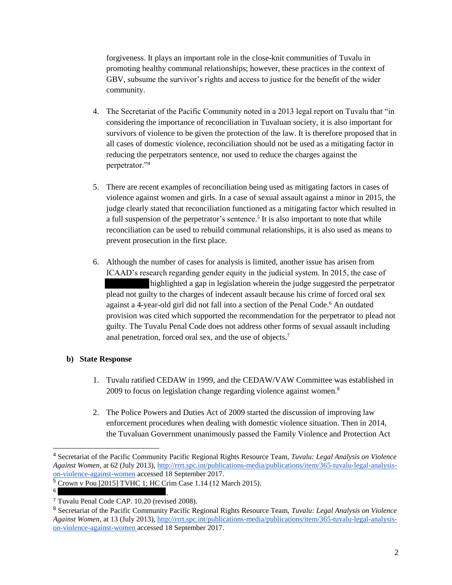forgiveness. It plays an important role in the close-knit communities of Tuvalu in promoting healthy communal relationships; however, these practices in the context of GBV, subsume the survivor's rights and access to justice for the benefit of the wider community.

- 4. The Secretariat of the Pacific Community noted in a 2013 legal report on Tuvalu that "in considering the importance of reconciliation in Tuvaluan society, it is also important for survivors of violence to be given the protection of the law. It is therefore proposed that in all cases of domestic violence, reconciliation should not be used as a mitigating factor in reducing the perpetrators sentence, nor used to reduce the charges against the perpetrator."<sup>4</sup>
- 5. There are recent examples of reconciliation being used as mitigating factors in cases of violence against women and girls. In a case of sexual assault against a minor in 2015, the judge clearly stated that reconciliation functioned as a mitigating factor which resulted in a full suspension of the perpetrator's sentence.<sup>5</sup> It is also important to note that while reconciliation can be used to rebuild communal relationships, it is also used as means to prevent prosecution in the first place.
- 6. Although the number of cases for analysis is limited, another issue has arisen from ICAAD's research regarding gender equity in the judicial system. In 2015, the case of highlighted a gap in legislation wherein the judge suggested the perpetrator plead not guilty to the charges of indecent assault because his crime of forced oral sex against a 4-year-old girl did not fall into a section of the Penal Code.<sup>6</sup> An outdated provision was cited which supported the recommendation for the perpetrator to plead not guilty. The Tuvalu Penal Code does not address other forms of sexual assault including anal penetration, forced oral sex, and the use of objects.<sup>7</sup>

## **b) State Response**

- 1. Tuvalu ratified CEDAW in 1999, and the CEDAW/VAW Committee was established in 2009 to focus on legislation change regarding violence against women.<sup>8</sup>
- 2. The Police Powers and Duties Act of 2009 started the discussion of improving law enforcement procedures when dealing with domestic violence situation. Then in 2014, the Tuvaluan Government unanimously passed the Family Violence and Protection Act

.

<sup>4</sup> Secretariat of the Pacific Community Pacific Regional Rights Resource Team, *Tuvalu: Legal Analysis on Violence Against Women,* at 62 (July 2013), [http://rrrt.spc.int/publications-media/publications/item/365-tuvalu-legal-analysis](http://rrrt.spc.int/publications-media/publications/item/365-tuvalu-legal-analysis-on-violence-against-women)[on-violence-against-women](http://rrrt.spc.int/publications-media/publications/item/365-tuvalu-legal-analysis-on-violence-against-women) accessed 18 September 2017.

<sup>5</sup> Crown v Pou [2015] TVHC 1; HC Crim Case 1.14 (12 March 2015).

<sup>6</sup>

<sup>7</sup> Tuvalu Penal Code CAP. 10.20 (revised 2008).

<sup>8</sup> Secretariat of the Pacific Community Pacific Regional Rights Resource Team, *Tuvalu: Legal Analysis on Violence Against Women,* at 13 (July 2013), [http://rrrt.spc.int/publications-media/publications/item/365-tuvalu-legal-analysis](http://rrrt.spc.int/publications-media/publications/item/365-tuvalu-legal-analysis-on-violence-against-women)[on-violence-against-women](http://rrrt.spc.int/publications-media/publications/item/365-tuvalu-legal-analysis-on-violence-against-women) accessed 18 September 2017.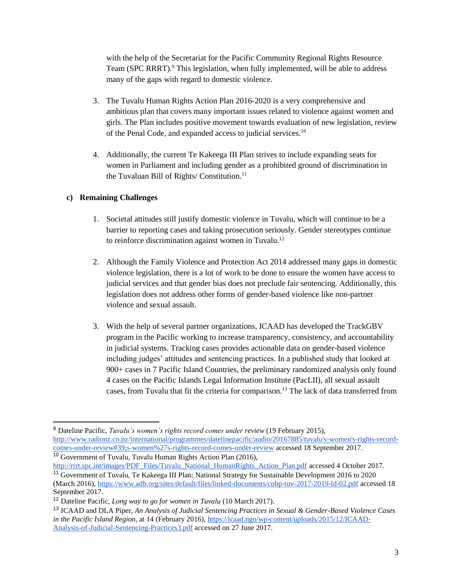with the help of the Secretariat for the Pacific Community Regional Rights Resource Team (SPC RRRT).<sup>9</sup> This legislation, when fully implemented, will be able to address many of the gaps with regard to domestic violence.

- 3. The Tuvalu Human Rights Action Plan 2016-2020 is a very comprehensive and ambitious plan that covers many important issues related to violence against women and girls. The Plan includes positive movement towards evaluation of new legislation, review of the Penal Code, and expanded access to judicial services.<sup>10</sup>
- 4. Additionally, the current Te Kakeega III Plan strives to include expanding seats for women in Parliament and including gender as a prohibited ground of discrimination in the Tuvaluan Bill of Rights/ Constitution. 11

## **c) Remaining Challenges**

- 1. Societal attitudes still justify domestic violence in Tuvalu, which will continue to be a barrier to reporting cases and taking prosecution seriously. Gender stereotypes continue to reinforce discrimination against women in Tuvalu.<sup>12</sup>
- 2. Although the Family Violence and Protection Act 2014 addressed many gaps in domestic violence legislation, there is a lot of work to be done to ensure the women have access to judicial services and that gender bias does not preclude fair sentencing. Additionally, this legislation does not address other forms of gender-based violence like non-partner violence and sexual assault.
- 3. With the help of several partner organizations, ICAAD has developed the TrackGBV program in the Pacific working to increase transparency, consistency, and accountability in judicial systems. Tracking cases provides actionable data on gender-based violence including judges' attitudes and sentencing practices. In a published study that looked at 900+ cases in 7 Pacific Island Countries, the preliminary randomized analysis only found 4 cases on the Pacific Islands Legal Information Institute (PacLII), all sexual assault cases, from Tuvalu that fit the criteria for comparison.<sup>13</sup> The lack of data transferred from

 <sup>9</sup> Dateline Pacific, *Tuvalu's women's rights record comes under review* (19 February 2015), [http://www.radionz.co.nz/international/programmes/datelinepacific/audio/20167885/tuvalu's-women's-rights-record](http://www.radionz.co.nz/international/programmes/datelinepacific/audio/20167885/tuvalu)[comes-under-review#39;s-women%27s-rights-record-comes-under-review](http://www.radionz.co.nz/international/programmes/datelinepacific/audio/20167885/tuvalu) accessed 18 September 2017.

<sup>10</sup> Government of Tuvalu, Tuvalu Human Rights Action Plan (2016), [http://rrrt.spc.int/images/PDF\\_Files/Tuvalu\\_National\\_HumanRights\\_Action\\_Plan.pdf](http://rrrt.spc.int/images/PDF_Files/Tuvalu_National_HumanRights_Action_Plan.pdf) accessed 4 October 2017.

<sup>11</sup> Government of Tuvalu, Te Kakeega III Plan: National Strategy for Sustainable Development 2016 to 2020 (March 2016),<https://www.adb.org/sites/default/files/linked-documents/cobp-tuv-2017-2019-ld-02.pdf> accessed 18 September 2017.

<sup>12</sup> Dateline Pacific, *Long way to go for women in Tuvalu* (10 March 2017).

<sup>13</sup> ICAAD and DLA Piper, *An Analysis of Judicial Sentencing Practices in Sexual & Gender-Based Violence Cases in the Pacific Island Region,* at 14 (February 2016[\),](https://icaad.ngo/wp-content/uploads/2015/12/ICAAD-Analysis-of-Judicial-Sentencing-Practices3.pdf) [https://icaad.ngo/wp-content/uploads/2015/12/ICAAD-](https://icaad.ngo/wp-content/uploads/2015/12/ICAAD-Analysis-of-Judicial-Sentencing-Practices3.pdf)[Analysis-of-Judicial-Sentencing-Practices3.pdf](https://icaad.ngo/wp-content/uploads/2015/12/ICAAD-Analysis-of-Judicial-Sentencing-Practices3.pdf) accessed on 27 June 2017.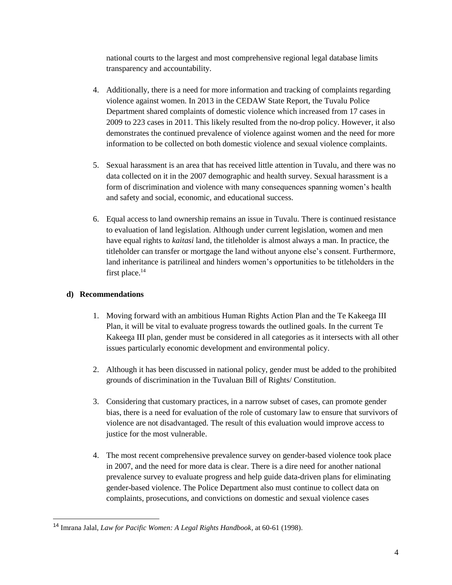national courts to the largest and most comprehensive regional legal database limits transparency and accountability.

- 4. Additionally, there is a need for more information and tracking of complaints regarding violence against women. In 2013 in the CEDAW State Report, the Tuvalu Police Department shared complaints of domestic violence which increased from 17 cases in 2009 to 223 cases in 2011. This likely resulted from the no-drop policy. However, it also demonstrates the continued prevalence of violence against women and the need for more information to be collected on both domestic violence and sexual violence complaints.
- 5. Sexual harassment is an area that has received little attention in Tuvalu, and there was no data collected on it in the 2007 demographic and health survey. Sexual harassment is a form of discrimination and violence with many consequences spanning women's health and safety and social, economic, and educational success.
- 6. Equal access to land ownership remains an issue in Tuvalu. There is continued resistance to evaluation of land legislation. Although under current legislation, women and men have equal rights to *kaitasi* land, the titleholder is almost always a man. In practice, the titleholder can transfer or mortgage the land without anyone else's consent. Furthermore, land inheritance is patrilineal and hinders women's opportunities to be titleholders in the first place.<sup>14</sup>

# **d) Recommendations**

- 1. Moving forward with an ambitious Human Rights Action Plan and the Te Kakeega III Plan, it will be vital to evaluate progress towards the outlined goals. In the current Te Kakeega III plan, gender must be considered in all categories as it intersects with all other issues particularly economic development and environmental policy.
- 2. Although it has been discussed in national policy, gender must be added to the prohibited grounds of discrimination in the Tuvaluan Bill of Rights/ Constitution.
- 3. Considering that customary practices, in a narrow subset of cases, can promote gender bias, there is a need for evaluation of the role of customary law to ensure that survivors of violence are not disadvantaged. The result of this evaluation would improve access to justice for the most vulnerable.
- 4. The most recent comprehensive prevalence survey on gender-based violence took place in 2007, and the need for more data is clear. There is a dire need for another national prevalence survey to evaluate progress and help guide data-driven plans for eliminating gender-based violence. The Police Department also must continue to collect data on complaints, prosecutions, and convictions on domestic and sexual violence cases

<sup>14</sup> Imrana Jalal, *Law for Pacific Women: A Legal Rights Handbook,* at 60-61 (1998).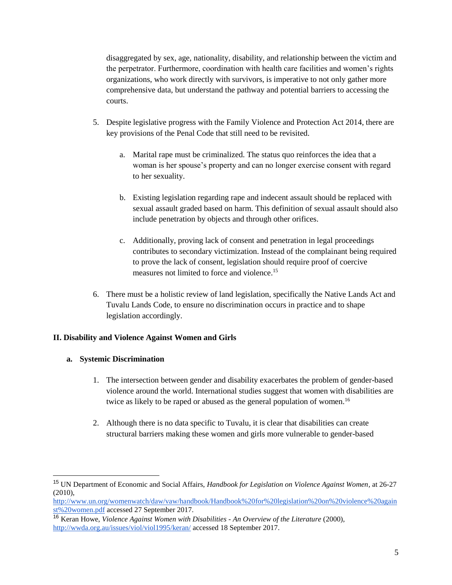disaggregated by sex, age, nationality, disability, and relationship between the victim and the perpetrator. Furthermore, coordination with health care facilities and women's rights organizations, who work directly with survivors, is imperative to not only gather more comprehensive data, but understand the pathway and potential barriers to accessing the courts.

- 5. Despite legislative progress with the Family Violence and Protection Act 2014, there are key provisions of the Penal Code that still need to be revisited.
	- a. Marital rape must be criminalized. The status quo reinforces the idea that a woman is her spouse's property and can no longer exercise consent with regard to her sexuality.
	- b. Existing legislation regarding rape and indecent assault should be replaced with sexual assault graded based on harm. This definition of sexual assault should also include penetration by objects and through other orifices.
	- c. Additionally, proving lack of consent and penetration in legal proceedings contributes to secondary victimization. Instead of the complainant being required to prove the lack of consent, legislation should require proof of coercive measures not limited to force and violence.<sup>15</sup>
- 6. There must be a holistic review of land legislation, specifically the Native Lands Act and Tuvalu Lands Code, to ensure no discrimination occurs in practice and to shape legislation accordingly.

## **II. Disability and Violence Against Women and Girls**

## **a. Systemic Discrimination**

 $\overline{a}$ 

- 1. The intersection between gender and disability exacerbates the problem of gender-based violence around the world. International studies suggest that women with disabilities are twice as likely to be raped or abused as the general population of women.<sup>16</sup>
- 2. Although there is no data specific to Tuvalu, it is clear that disabilities can create structural barriers making these women and girls more vulnerable to gender-based

<sup>15</sup> UN Department of Economic and Social Affairs, *Handbook for Legislation on Violence Against Women,* at 26-27 (2010),

[http://www.un.org/womenwatch/daw/vaw/handbook/Handbook%20for%20legislation%20on%20violence%20again](http://www.un.org/womenwatch/daw/vaw/handbook/Handbook%20for%20legislation%20on%20violence%20against%20women.pdf) [st%20women.pdf](http://www.un.org/womenwatch/daw/vaw/handbook/Handbook%20for%20legislation%20on%20violence%20against%20women.pdf) accessed 27 September 2017.

<sup>16</sup> Keran Howe, *Violence Against Women with Disabilities - An Overview of the Literature* (2000), <http://wwda.org.au/issues/viol/viol1995/keran/> accessed 18 September 2017.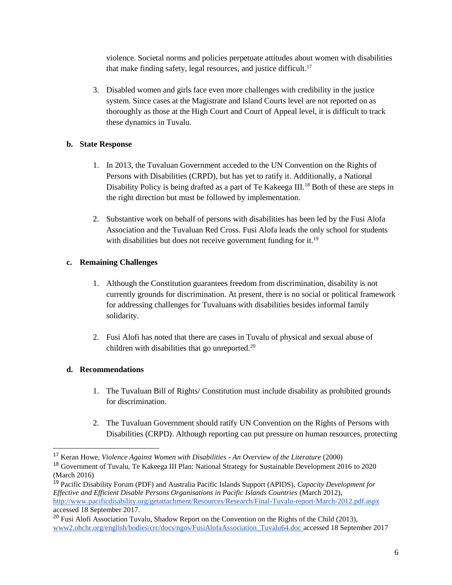violence. Societal norms and policies perpetuate attitudes about women with disabilities that make finding safety, legal resources, and justice difficult.<sup>17</sup>

3. Disabled women and girls face even more challenges with credibility in the justice system. Since cases at the Magistrate and Island Courts level are not reported on as thoroughly as those at the High Court and Court of Appeal level, it is difficult to track these dynamics in Tuvalu.

## **b. State Response**

- 1. In 2013, the Tuvaluan Government acceded to the UN Convention on the Rights of Persons with Disabilities (CRPD), but has yet to ratify it. Additionally, a National Disability Policy is being drafted as a part of Te Kakeega III.<sup>18</sup> Both of these are steps in the right direction but must be followed by implementation.
- 2. Substantive work on behalf of persons with disabilities has been led by the Fusi Alofa Association and the Tuvaluan Red Cross. Fusi Alofa leads the only school for students with disabilities but does not receive government funding for it.<sup>19</sup>

## **c. Remaining Challenges**

- 1. Although the Constitution guarantees freedom from discrimination, disability is not currently grounds for discrimination. At present, there is no social or political framework for addressing challenges for Tuvaluans with disabilities besides informal family solidarity.
- 2. Fusi Alofi has noted that there are cases in Tuvalu of physical and sexual abuse of children with disabilities that go unreported.<sup>20</sup>

# **d. Recommendations**

 $\overline{a}$ 

- 1. The Tuvaluan Bill of Rights/ Constitution must include disability as prohibited grounds for discrimination.
- 2. The Tuvaluan Government should ratify UN Convention on the Rights of Persons with Disabilities (CRPD). Although reporting can put pressure on human resources, protecting

<sup>19</sup> Pacific Disability Forum (PDF) and Australia Pacific Islands Support (APIDS), *Capacity Development for Effective and Efficient Disable Persons Organisations in Pacific Islands Countries* (March 2012), <http://www.pacificdisability.org/getattachment/Resources/Research/Final-Tuvalu-report-March-2012.pdf.aspx> accessed 18 September 2017.

<sup>17</sup> Keran Howe, *Violence Against Women with Disabilities - An Overview of the Literature* (2000)

<sup>18</sup> Government of Tuvalu, Te Kakeega III Plan: National Strategy for Sustainable Development 2016 to 2020 (March 2016)

<sup>&</sup>lt;sup>20</sup> Fusi Alofi Association Tuvalu, Shadow Report on the Convention on the Rights of the Child (2013), [www2.ohchr.org/english/bodies/crc/docs/ngos/FusiAlofaAssociation\\_Tuvalu64.doc a](http://www2.ohchr.org/english/bodies/crc/docs/ngos/FusiAlofaAssociation_Tuvalu64.doc)ccessed 18 September 2017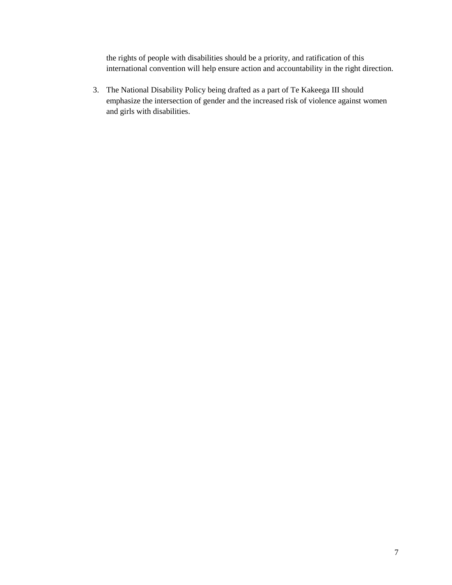the rights of people with disabilities should be a priority, and ratification of this international convention will help ensure action and accountability in the right direction.

3. The National Disability Policy being drafted as a part of Te Kakeega III should emphasize the intersection of gender and the increased risk of violence against women and girls with disabilities.